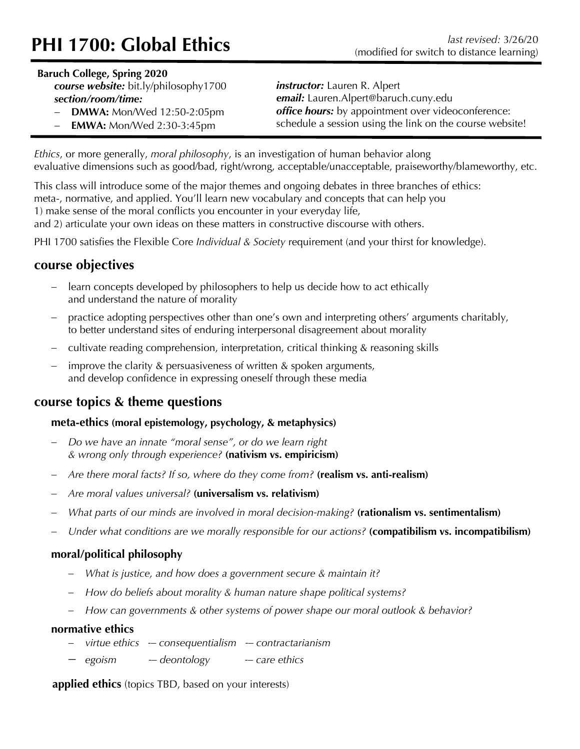# **PHI 1700: Global Ethics** (modified for switch to distance learning)

#### **Baruch College, Spring 2020**

*course website:* bit.ly/philosophy1700 *section/room/time:*

*instructor:* Lauren R. Alpert *email:* Lauren.Alpert@baruch.cuny.edu *office hours:* by appointment over videoconference: schedule a session using the link on the course website!

**DMWA: Mon/Wed 12:50-2:05pm EMWA:** Mon/Wed 2:30-3:45pm

*Ethics*, or more generally, *moral philosophy*, is an investigation of human behavior along evaluative dimensions such as good/bad, right/wrong, acceptable/unacceptable, praiseworthy/blameworthy, etc.

This class will introduce some of the major themes and ongoing debates in three branches of ethics: meta-, normative, and applied. You'll learn new vocabulary and concepts that can help you 1) make sense of the moral conflicts you encounter in your everyday life, and 2) articulate your own ideas on these matters in constructive discourse with others.

PHI 1700 satisfies the Flexible Core *Individual & Society* requirement (and your thirst for knowledge).

## **course objectives**

- learn concepts developed by philosophers to help us decide how to act ethically and understand the nature of morality
- practice adopting perspectives other than one's own and interpreting others' arguments charitably, to better understand sites of enduring interpersonal disagreement about morality
- cultivate reading comprehension, interpretation, critical thinking & reasoning skills
- improve the clarity  $&$  persuasiveness of written  $&$  spoken arguments, and develop confidence in expressing oneself through these media

## **course topics & theme questions**

### **meta-ethics (moral epistemology, psychology, & metaphysics)**

- *Do we have an innate "moral sense", or do we learn right & wrong only through experience?* **(nativism vs. empiricism)**
- *Are there moral facts? If so, where do they come from?* **(realism vs. anti-realism)**
- *Are moral values universal?* **(universalism vs. relativism)**
- *What parts of our minds are involved in moral decision-making?* **(rationalism vs. sentimentalism)**
- *Under what conditions are we morally responsible for our actions?* **(compatibilism vs. incompatibilism)**

## **moral/political philosophy**

- *What is justice, and how does a government secure & maintain it?*
- *How do beliefs about morality & human nature shape political systems?*
- *How can governments & other systems of power shape our moral outlook & behavior?*

### **normative ethics**

- *virtue ethics -– consequentialism -– contractarianism*
- *egoism -– deontology -– care ethics*

**applied ethics** (topics TBD, based on your interests)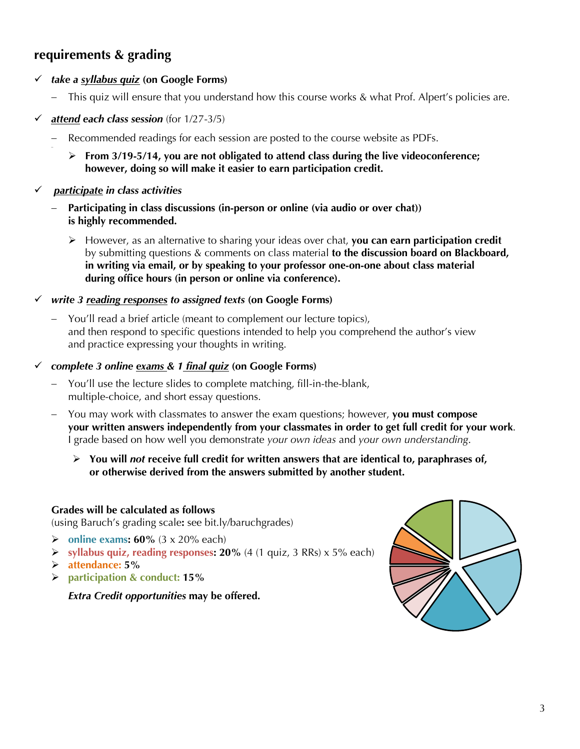# **requirements & grading**

- ü *take a syllabus quiz* **(on Google Forms)**
	- This quiz will ensure that you understand how this course works & what Prof. Alpert's policies are.
- $\checkmark$  attend each class session (for  $1/27-3/5$ )
	- Recommended readings for each session are posted to the course website as PDFs.
		- Ø **From 3/19-5/14, you are not obligated to attend class during the live videoconference; however, doing so will make it easier to earn participation credit.**
- ü *participate in class activities*

-

- Participating in class discussions (in-person or online (via audio or over chat)) **is highly recommended.**
	- Ø However, as an alternative to sharing your ideas over chat, **you can earn participation credit** by submitting questions & comments on class material **to the discussion board on Blackboard, in writing via email, or by speaking to your professor one-on-one about class material during office hours (in person or online via conference).**
- ü *write 3 reading responses to assigned texts* **(on Google Forms)**
	- You'll read a brief article (meant to complement our lecture topics), and then respond to specific questions intended to help you comprehend the author's view and practice expressing your thoughts in writing.
- ü *complete 3 online exams & 1 final quiz* **(on Google Forms)**
	- You'll use the lecture slides to complete matching, fill-in-the-blank, multiple-choice, and short essay questions.
	- You may work with classmates to answer the exam questions; however, **you must compose your written answers independently from your classmates in order to get full credit for your work**. I grade based on how well you demonstrate *your own ideas* and *your own understanding*.
		- Ø **You will** *not* **receive full credit for written answers that are identical to, paraphrases of, or otherwise derived from the answers submitted by another student.**

#### **Grades will be calculated as follows**

(using Baruch's grading scale**:** see bit.ly/baruchgrades)

- Ø **online exams: 60%** (3 x 20% each)
- Ø **syllabus quiz, reading responses: 20%** (4 (1 quiz, 3 RRs) x 5% each)
- Ø **attendance: 5%**
- <sup>Ø</sup> **participation & conduct: 15%**

*Extra Credit opportunities* **may be offered.**

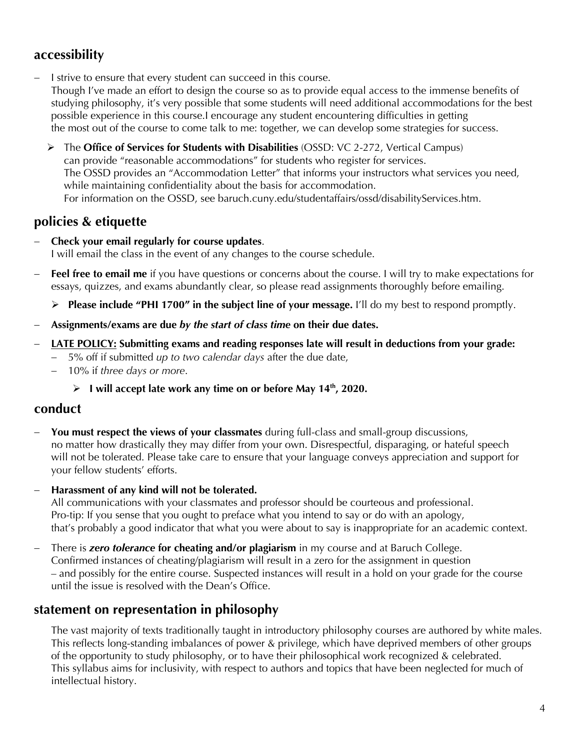# **accessibility**

- I strive to ensure that every student can succeed in this course. Though I've made an effort to design the course so as to provide equal access to the immense benefits of studying philosophy, it's very possible that some students will need additional accommodations for the best possible experience in this course.I encourage any student encountering difficulties in getting the most out of the course to come talk to me: together, we can develop some strategies for success.
	- Ø The **Office of Services for Students with Disabilities** (OSSD: VC 2-272, Vertical Campus) can provide "reasonable accommodations" for students who register for services. The OSSD provides an "Accommodation Letter" that informs your instructors what services you need, while maintaining confidentiality about the basis for accommodation. For information on the OSSD, see baruch.cuny.edu/studentaffairs/ossd/disabilityServices.htm.

# **policies & etiquette**

- **Check your email regularly for course updates**. I will email the class in the event of any changes to the course schedule.
- Feel free to email me if you have questions or concerns about the course. I will try to make expectations for essays, quizzes, and exams abundantly clear, so please read assignments thoroughly before emailing.

Ø **Please include "PHI 1700" in the subject line of your message.** I'll do my best to respond promptly.

- **Assignments/exams are due** *by the start of class time* **on their due dates.**
- **LATE POLICY: Submitting exams and reading responses late will result in deductions from your grade:**
	- 5% off if submitted *up to two calendar days* after the due date,
	- 10% if *three days or more*.
		- Ø **I will accept late work any time on or before May 14th, 2020.**

## **conduct**

You must respect the views of your classmates during full-class and small-group discussions, no matter how drastically they may differ from your own. Disrespectful, disparaging, or hateful speech will not be tolerated. Please take care to ensure that your language conveys appreciation and support for your fellow students' efforts.

### - **Harassment of any kind will not be tolerated.**

All communications with your classmates and professor should be courteous and professional. Pro-tip: If you sense that you ought to preface what you intend to say or do with an apology, that's probably a good indicator that what you were about to say is inappropriate for an academic context.

- There is *zero tolerance* **for cheating and/or plagiarism** in my course and at Baruch College. Confirmed instances of cheating/plagiarism will result in a zero for the assignment in question – and possibly for the entire course. Suspected instances will result in a hold on your grade for the course until the issue is resolved with the Dean's Office.

## **statement on representation in philosophy**

The vast majority of texts traditionally taught in introductory philosophy courses are authored by white males. This reflects long-standing imbalances of power & privilege, which have deprived members of other groups of the opportunity to study philosophy, or to have their philosophical work recognized & celebrated. This syllabus aims for inclusivity, with respect to authors and topics that have been neglected for much of intellectual history.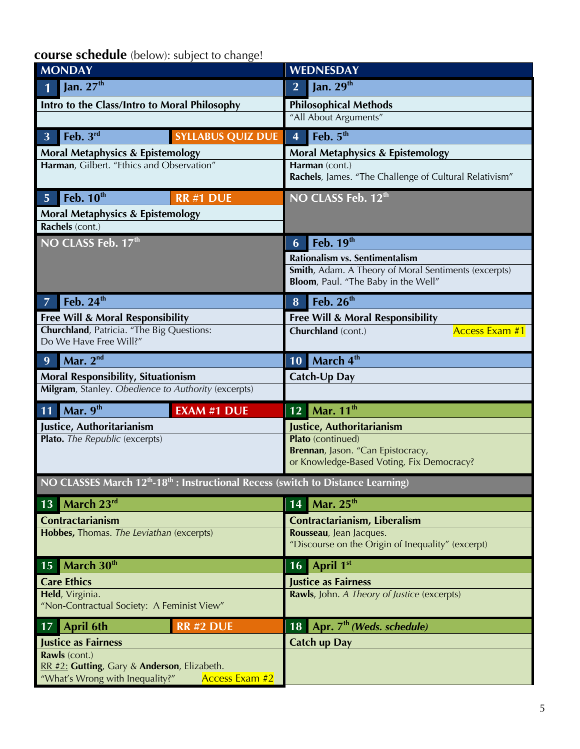**course schedule** (below): subject to change!

| <b>MONDAY</b>                                                                                            | <b>WEDNESDAY</b>                                                                            |  |
|----------------------------------------------------------------------------------------------------------|---------------------------------------------------------------------------------------------|--|
| Jan. $27th$                                                                                              | Jan. $29th$<br>$\overline{2}$                                                               |  |
| Intro to the Class/Intro to Moral Philosophy                                                             | <b>Philosophical Methods</b>                                                                |  |
|                                                                                                          | "All About Arguments"                                                                       |  |
| Feb. $3^{rd}$<br><b>SYLLABUS QUIZ DUE</b><br>$\overline{3}$                                              | Feb. $5th$<br>$\overline{\mathbf{4}}$                                                       |  |
| <b>Moral Metaphysics &amp; Epistemology</b>                                                              | <b>Moral Metaphysics &amp; Epistemology</b>                                                 |  |
| Harman, Gilbert. "Ethics and Observation"                                                                | Harman (cont.)                                                                              |  |
|                                                                                                          | Rachels, James. "The Challenge of Cultural Relativism"                                      |  |
| Feb. $10th$<br>5 <sup>1</sup><br><b>RR#1 DUE</b>                                                         | NO CLASS Feb. 12th                                                                          |  |
| <b>Moral Metaphysics &amp; Epistemology</b>                                                              |                                                                                             |  |
| Rachels (cont.)                                                                                          |                                                                                             |  |
| NO CLASS Feb. 17th                                                                                       | Feb. 19 <sup>th</sup><br>6                                                                  |  |
|                                                                                                          | Rationalism vs. Sentimentalism                                                              |  |
|                                                                                                          | Smith, Adam. A Theory of Moral Sentiments (excerpts)<br>Bloom, Paul. "The Baby in the Well" |  |
|                                                                                                          |                                                                                             |  |
| Feb. 24 <sup>th</sup><br>$\overline{7}$                                                                  | Feb. 26 <sup>th</sup><br>8                                                                  |  |
| <b>Free Will &amp; Moral Responsibility</b><br>Churchland, Patricia. "The Big Questions:                 | <b>Free Will &amp; Moral Responsibility</b>                                                 |  |
| Do We Have Free Will?"                                                                                   | <b>Access Exam #1</b><br>Churchland (cont.)                                                 |  |
| Mar. $2nd$<br>9                                                                                          | March 4th<br>10                                                                             |  |
| <b>Moral Responsibility, Situationism</b>                                                                | Catch-Up Day                                                                                |  |
| Milgram, Stanley. Obedience to Authority (excerpts)                                                      |                                                                                             |  |
| Mar. 9th<br><b>EXAM #1 DUE</b><br>11                                                                     | $\blacksquare$ Mar. 11 <sup>th</sup><br>12                                                  |  |
| Justice, Authoritarianism                                                                                | Justice, Authoritarianism                                                                   |  |
| Plato. The Republic (excerpts)                                                                           | Plato (continued)                                                                           |  |
|                                                                                                          | Brennan, Jason. "Can Epistocracy,<br>or Knowledge-Based Voting, Fix Democracy?              |  |
|                                                                                                          |                                                                                             |  |
| NO CLASSES March 12 <sup>th</sup> -18 <sup>th</sup> : Instructional Recess (switch to Distance Learning) |                                                                                             |  |
| March 23rd<br>13                                                                                         | Mar. $25th$<br>14                                                                           |  |
| <b>Contractarianism</b>                                                                                  | Contractarianism, Liberalism                                                                |  |
| Hobbes, Thomas. The Leviathan (excerpts)                                                                 | Rousseau, Jean Jacques.<br>"Discourse on the Origin of Inequality" (excerpt)                |  |
|                                                                                                          |                                                                                             |  |
| March 30 <sup>th</sup><br>15                                                                             | April 1st<br>16                                                                             |  |
| <b>Care Ethics</b>                                                                                       | <b>Justice as Fairness</b>                                                                  |  |
| Held, Virginia.<br>"Non-Contractual Society: A Feminist View"                                            | Rawls, John. A Theory of Justice (excerpts)                                                 |  |
| <b>April 6th</b><br><b>RR #2 DUE</b><br>17                                                               | 18 Apr. $7th$ (Weds. schedule)                                                              |  |
| <b>Justice as Fairness</b>                                                                               | <b>Catch up Day</b>                                                                         |  |
| Rawls (cont.)<br>RR #2: Gutting, Gary & Anderson, Elizabeth.                                             |                                                                                             |  |
| "What's Wrong with Inequality?"<br>Access Exam #2                                                        |                                                                                             |  |